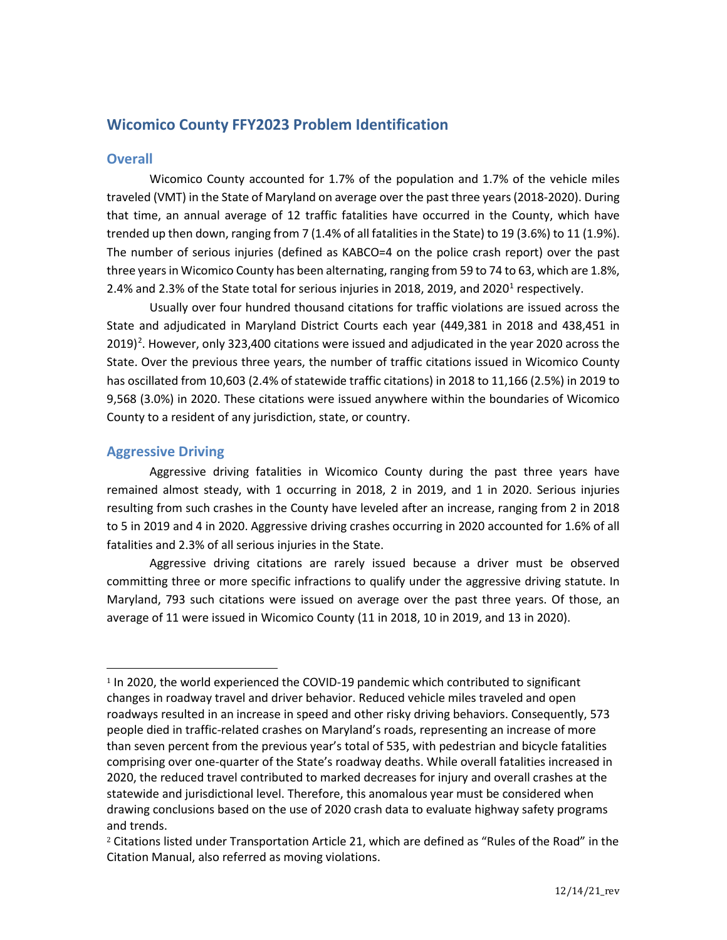# **Wicomico County FFY2023 Problem Identification**

## **Overall**

Wicomico County accounted for 1.7% of the population and 1.7% of the vehicle miles traveled (VMT) in the State of Maryland on average over the past three years (2018-2020). During that time, an annual average of 12 traffic fatalities have occurred in the County, which have trended up then down, ranging from 7 (1.4% of all fatalities in the State) to 19 (3.6%) to 11 (1.9%). The number of serious injuries (defined as KABCO=4 on the police crash report) over the past three years in Wicomico County has been alternating, ranging from 59 to 74 to 63, which are 1.8%, 2.4% and 2.3% of the State total for serious injuries in 20[1](#page-0-0)8, 2019, and 2020 $^1$  respectively.

Usually over four hundred thousand citations for traffic violations are issued across the State and adjudicated in Maryland District Courts each year (449,381 in 2018 and 438,451 in  $2019)$  $2019)$ <sup>2</sup>. However, only 323,400 citations were issued and adjudicated in the year 2020 across the State. Over the previous three years, the number of traffic citations issued in Wicomico County has oscillated from 10,603 (2.4% of statewide traffic citations) in 2018 to 11,166 (2.5%) in 2019 to 9,568 (3.0%) in 2020. These citations were issued anywhere within the boundaries of Wicomico County to a resident of any jurisdiction, state, or country.

## **Aggressive Driving**

Aggressive driving fatalities in Wicomico County during the past three years have remained almost steady, with 1 occurring in 2018, 2 in 2019, and 1 in 2020. Serious injuries resulting from such crashes in the County have leveled after an increase, ranging from 2 in 2018 to 5 in 2019 and 4 in 2020. Aggressive driving crashes occurring in 2020 accounted for 1.6% of all fatalities and 2.3% of all serious injuries in the State.

Aggressive driving citations are rarely issued because a driver must be observed committing three or more specific infractions to qualify under the aggressive driving statute. In Maryland, 793 such citations were issued on average over the past three years. Of those, an average of 11 were issued in Wicomico County (11 in 2018, 10 in 2019, and 13 in 2020).

<span id="page-0-0"></span><sup>1</sup> In 2020, the world experienced the COVID-19 pandemic which contributed to significant changes in roadway travel and driver behavior. Reduced vehicle miles traveled and open roadways resulted in an increase in speed and other risky driving behaviors. Consequently, 573 people died in traffic-related crashes on Maryland's roads, representing an increase of more than seven percent from the previous year's total of 535, with pedestrian and bicycle fatalities comprising over one-quarter of the State's roadway deaths. While overall fatalities increased in 2020, the reduced travel contributed to marked decreases for injury and overall crashes at the statewide and jurisdictional level. Therefore, this anomalous year must be considered when drawing conclusions based on the use of 2020 crash data to evaluate highway safety programs and trends.

<span id="page-0-1"></span><sup>&</sup>lt;sup>2</sup> Citations listed under Transportation Article 21, which are defined as "Rules of the Road" in the Citation Manual, also referred as moving violations.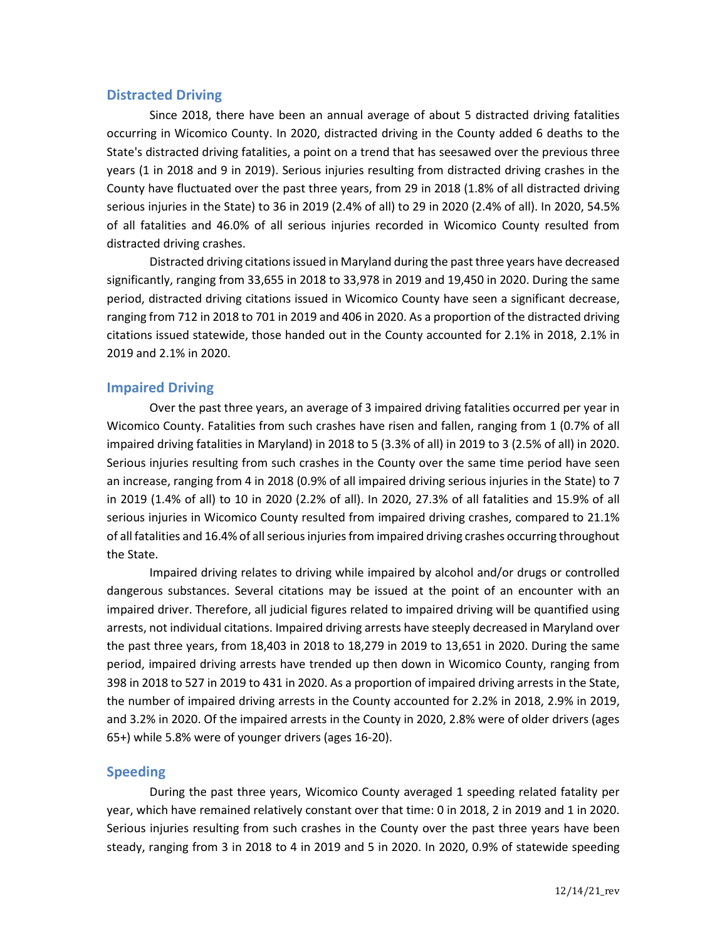## **Distracted Driving**

Since 2018, there have been an annual average of about 5 distracted driving fatalities occurring in Wicomico County. In 2020, distracted driving in the County added 6 deaths to the State's distracted driving fatalities, a point on a trend that has seesawed over the previous three years (1 in 2018 and 9 in 2019). Serious injuries resulting from distracted driving crashes in the County have fluctuated over the past three years, from 29 in 2018 (1.8% of all distracted driving serious injuries in the State) to 36 in 2019 (2.4% of all) to 29 in 2020 (2.4% of all). In 2020, 54.5% of all fatalities and 46.0% of all serious injuries recorded in Wicomico County resulted from distracted driving crashes.

Distracted driving citations issued in Maryland during the past three years have decreased significantly, ranging from 33,655 in 2018 to 33,978 in 2019 and 19,450 in 2020. During the same period, distracted driving citations issued in Wicomico County have seen a significant decrease, ranging from 712 in 2018 to 701 in 2019 and 406 in 2020. As a proportion of the distracted driving citations issued statewide, those handed out in the County accounted for 2.1% in 2018, 2.1% in 2019 and 2.1% in 2020.

## **Impaired Driving**

Over the past three years, an average of 3 impaired driving fatalities occurred per year in Wicomico County. Fatalities from such crashes have risen and fallen, ranging from 1 (0.7% of all impaired driving fatalities in Maryland) in 2018 to 5 (3.3% of all) in 2019 to 3 (2.5% of all) in 2020. Serious injuries resulting from such crashes in the County over the same time period have seen an increase, ranging from 4 in 2018 (0.9% of all impaired driving serious injuries in the State) to 7 in 2019 (1.4% of all) to 10 in 2020 (2.2% of all). In 2020, 27.3% of all fatalities and 15.9% of all serious injuries in Wicomico County resulted from impaired driving crashes, compared to 21.1% of all fatalities and 16.4% of all serious injuries from impaired driving crashes occurring throughout the State.

Impaired driving relates to driving while impaired by alcohol and/or drugs or controlled dangerous substances. Several citations may be issued at the point of an encounter with an impaired driver. Therefore, all judicial figures related to impaired driving will be quantified using arrests, not individual citations. Impaired driving arrests have steeply decreased in Maryland over the past three years, from 18,403 in 2018 to 18,279 in 2019 to 13,651 in 2020. During the same period, impaired driving arrests have trended up then down in Wicomico County, ranging from 398 in 2018 to 527 in 2019 to 431 in 2020. As a proportion of impaired driving arrests in the State, the number of impaired driving arrests in the County accounted for 2.2% in 2018, 2.9% in 2019, and 3.2% in 2020. Of the impaired arrests in the County in 2020, 2.8% were of older drivers (ages 65+) while 5.8% were of younger drivers (ages 16-20).

### **Speeding**

During the past three years, Wicomico County averaged 1 speeding related fatality per year, which have remained relatively constant over that time: 0 in 2018, 2 in 2019 and 1 in 2020. Serious injuries resulting from such crashes in the County over the past three years have been steady, ranging from 3 in 2018 to 4 in 2019 and 5 in 2020. In 2020, 0.9% of statewide speeding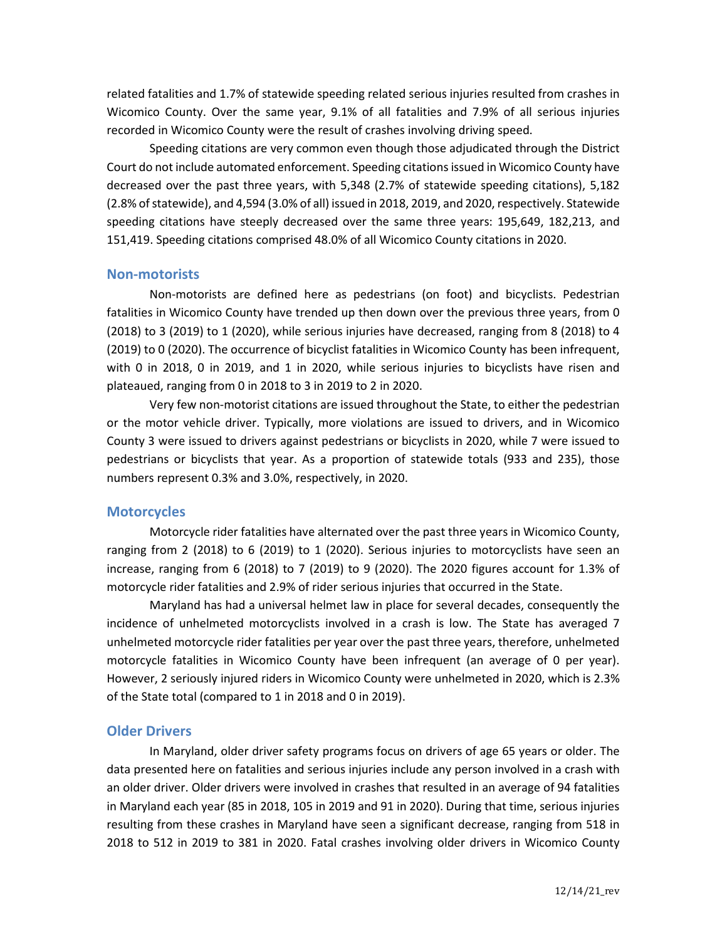related fatalities and 1.7% of statewide speeding related serious injuries resulted from crashes in Wicomico County. Over the same year, 9.1% of all fatalities and 7.9% of all serious injuries recorded in Wicomico County were the result of crashes involving driving speed.

Speeding citations are very common even though those adjudicated through the District Court do not include automated enforcement. Speeding citations issued in Wicomico County have decreased over the past three years, with 5,348 (2.7% of statewide speeding citations), 5,182 (2.8% of statewide), and 4,594 (3.0% of all) issued in 2018, 2019, and 2020, respectively. Statewide speeding citations have steeply decreased over the same three years: 195,649, 182,213, and 151,419. Speeding citations comprised 48.0% of all Wicomico County citations in 2020.

#### **Non-motorists**

Non-motorists are defined here as pedestrians (on foot) and bicyclists. Pedestrian fatalities in Wicomico County have trended up then down over the previous three years, from 0 (2018) to 3 (2019) to 1 (2020), while serious injuries have decreased, ranging from 8 (2018) to 4 (2019) to 0 (2020). The occurrence of bicyclist fatalities in Wicomico County has been infrequent, with 0 in 2018, 0 in 2019, and 1 in 2020, while serious injuries to bicyclists have risen and plateaued, ranging from 0 in 2018 to 3 in 2019 to 2 in 2020.

Very few non-motorist citations are issued throughout the State, to either the pedestrian or the motor vehicle driver. Typically, more violations are issued to drivers, and in Wicomico County 3 were issued to drivers against pedestrians or bicyclists in 2020, while 7 were issued to pedestrians or bicyclists that year. As a proportion of statewide totals (933 and 235), those numbers represent 0.3% and 3.0%, respectively, in 2020.

### **Motorcycles**

Motorcycle rider fatalities have alternated over the past three years in Wicomico County, ranging from 2 (2018) to 6 (2019) to 1 (2020). Serious injuries to motorcyclists have seen an increase, ranging from 6 (2018) to 7 (2019) to 9 (2020). The 2020 figures account for 1.3% of motorcycle rider fatalities and 2.9% of rider serious injuries that occurred in the State.

Maryland has had a universal helmet law in place for several decades, consequently the incidence of unhelmeted motorcyclists involved in a crash is low. The State has averaged 7 unhelmeted motorcycle rider fatalities per year over the past three years, therefore, unhelmeted motorcycle fatalities in Wicomico County have been infrequent (an average of 0 per year). However, 2 seriously injured riders in Wicomico County were unhelmeted in 2020, which is 2.3% of the State total (compared to 1 in 2018 and 0 in 2019).

### **Older Drivers**

In Maryland, older driver safety programs focus on drivers of age 65 years or older. The data presented here on fatalities and serious injuries include any person involved in a crash with an older driver. Older drivers were involved in crashes that resulted in an average of 94 fatalities in Maryland each year (85 in 2018, 105 in 2019 and 91 in 2020). During that time, serious injuries resulting from these crashes in Maryland have seen a significant decrease, ranging from 518 in 2018 to 512 in 2019 to 381 in 2020. Fatal crashes involving older drivers in Wicomico County